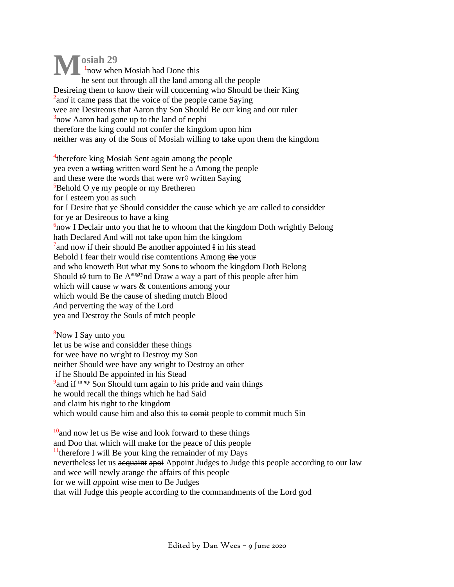**osiah 29** 1 now when Mosiah had Done this he sent out through all the land among all the people Desireing them to know their will concerning who Should be their King <sup>2</sup> and it came pass that the voice of the people came Saying wee are Desireous that Aaron thy Son Should Be our king and our ruler <sup>3</sup> now Aaron had gone up to the land of nephi therefore the king could not confer the kingdom upon him neither was any of the Sons of Mosiah willing to take upon them the kingdom **M**

<sup>4</sup>therefore king Mosiah Sent again among the people yea even a wrting written word Sent he a Among the people and these were the words that were <del>wr</del>♦ written Saying <sup>5</sup>Behold O ye my people or my Bretheren for I esteem you as such for I Desire that ye Should considder the cause which ye are called to considder for ye ar Desireous to have a king 6 now I Declair unto you that he to whoom that the *k*ingdom Doth wrightly Belong hath Declared And will not take upon him the kingdom  $7$  and now if their should Be another appointed I in his stead Behold I fear their would rise comtentions Among the your and who knoweth But what my Sons to whoom the kingdom Doth Belong Should  $\leftrightarrow$  turn to Be A<sup>angry</sup>nd Draw a way a part of this people after him whi*c*h will cause *w* wars & contentions among your whi*c*h would Be the cause of sheding mutch Blood *A*nd perverting the way of the Lord yea and Destroy the Souls of mtch people

<sup>8</sup>Now I Say unto you let us be wise and considder these things for wee have no wr<sup>i</sup>ght to Destroy my Son neither Should wee have any wright to Destroy an other if he Should Be appoin*t*ed in his Stead <sup>9</sup> and if <sup>m my</sup> Son Should turn again to his pride and vain things he would recall the things which he had Said and claim his right to the kingdom which would cause him and also this to commit people to commit much Sin

 $10<sub>10</sub>$  and now let us Be wise and look forward to these things and Doo that which will make for the peace of this people  $<sup>11</sup>$ therefore I will Be your king the remainder of my Days</sup> nevertheless let us acquaint apoi Appoint Judges to Judge this people according to our law and wee will newly arange the affairs of this people for we will *a*ppoint wise men to Be Judges that will Judge this people according to the commandments of the Lord god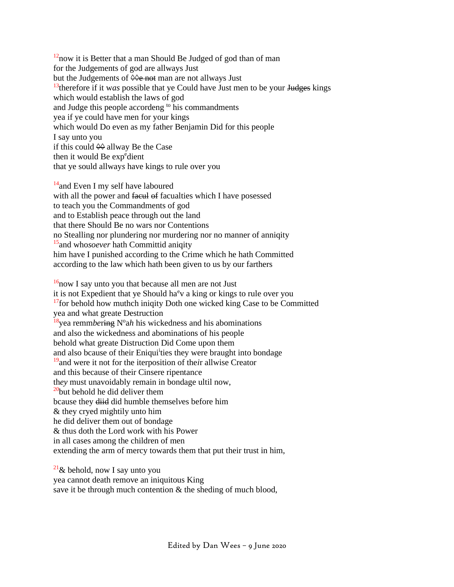$12$ now it is Better that a man Should Be Judged of god than of man for the Judgements of god are allways Just but the Judgements of  $\Diamond \Diamond e$  not man are not allways Just <sup>13</sup>therefore if it w*as* possible that ye Could have Just men to be your Judges kings which would establish the laws of god and Judge this people accordeng <sup>to</sup> his commandments yea if ye could have men for your kings which would Do even as my father Benjamin Did for this people I say unto you if this could  $\diamondsuit$  allway Be the Case then it would Be expedient that ye sould allway*s* have kings to rule over you

<sup>14</sup> and Even I my self have laboured with all the power and facul of facualties which I have posessed to teach you the Commandments of god and to Establish peace through out the land that there Should Be no wars nor Contentions no Stealling nor plundering nor murdering nor no manner of anniqity <sup>15</sup>and who*soever* hath Committid aniqity him have I punished according to the Crime which he hath Committed according to the law which hath been given to us by our farthers

 $16$ now I say unto you that because all men are not Just it is not Expedient that ye Should ha<sup>e</sup>v a king or kings to rule over you  $17$  for behold how muthch iniqity Doth one wicked king Case to be Committed yea and what greate Destruction <sup>18</sup>yea remmbering N°ah his wickedness and his abominations and also the wickedness and abominations of his people behold what greate Distruction Did Come upon them and also bcause of their Eniqui<sup>i</sup>ties they were braught into bondage <sup>19</sup>and were it not for the iterposition of the*i*r allwise Creator and this because of their Cinsere ripentan*c*e th*ey* must unavoidably remain in bondage ultil now,  $20$ <sub>but behold he did deliver them</sub> bcause they diid did humble themsel*v*es before him & they cryed mightily unto him he did deliver them out of bondage & thus doth the Lord work with his Power in all cases among the children of men extending the arm of mercy towards them that put their trust in him,

 $21\&$  behold, now I say unto you yea cannot death remove an iniquitous King save it be through much contention & the sheding of mu*c*h blood,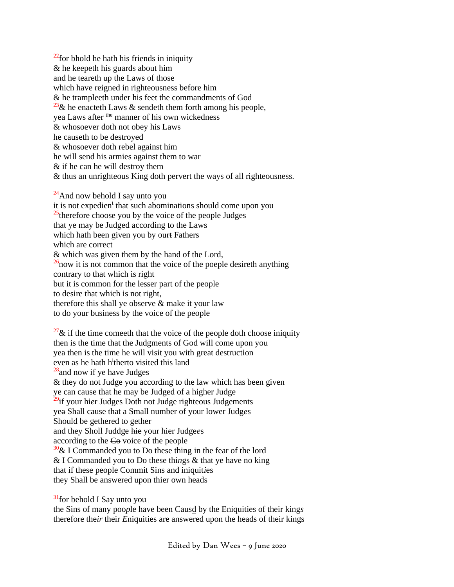$^{22}$  for bhold he hath his friends in iniquity & he keepeth his guards about him and he teareth up the Laws of those which have reigned in righteousness before him & he trampleeth under his feet the commandments of God <sup>23</sup>& he enacteth Laws & sendeth them forth among his people, yea Laws after <sup>the</sup> manner of his own wickedness & whosoever doth not obey his Laws he causeth to be destroyed & whosoever doth rebel against him he will send his armies against them to war & if he can he will destroy them & thus an unrighteous King doth pervert the ways of all righteousness.

 $^{24}$ And now behold I say unto you it is not expedien<sup>t</sup> that such abominations should come upon you  $25$ therefore choose you by the voice of the people Judges that ye may be Judged according to the Laws which hath been given you by ourt Fathers which are correct & which was given them by the hand of the Lord,  $\frac{26}{100}$  is not common that the voice of the poeple desireth anything contrary to that which is right but it is common for the lesser part of the people to desire that which is not right, therefore this shall ye observe & make it your law to do your business by the voice of the people  $27\&$  if the time comeeth that the voice of the people doth choose iniquity then is the time that the Judgments of God will come upon you

yea then is the time he will visit you with great destruction

even as he hath h<sup>i</sup>therto visited this land

 $28$ and now if ye have Judges

& they do not Judge you according to the law which has been given

ye can cause that he may be Judged of a higher Judge

<sup>29</sup>if your hi*er* Judges Doth not Judge righteous Judgements

yea Shall cause that a Small number of your lower Judg*e*s

Should be gethered to gether

and they Sholl Juddge hie your hier Judge*e*s

according to the Co voice of the people

 $30\&$  I Commanded you to Do these thing in the fear of the lord

& I Commanded you to Do these thi*n*gs & that ye have no king

that if these people Commit Sins and iniquit*i*es

they Shall be answered upon thier own heads

 $31$  for behold I Say unto you

the Sins of many poo*p*le have been Causd by the Eniquities of their king*s* therefore the*ir* their *E*niquities are answered upon the heads of their kings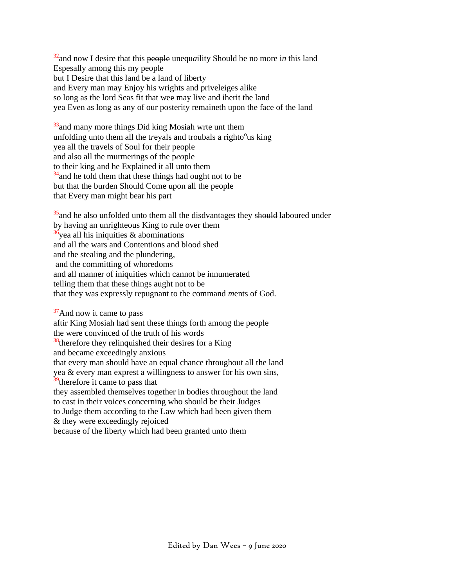<sup>32</sup> and now I desire that this people unequallity Should be no more in this land Espesally among this my people but I Desire that this land be a land of liberty and Every man may Enjoy his wrights and priveleiges alike so long as the lord Seas fit that wee may live and iherit the land yea Even as long as any of our posterity remaineth upon the face of the land

 $33$ <sub>33</sub> and many more things Did king Mosiah wrte unt them unfolding unto them all the treyals and troubals a righto<sup>o</sup>us king yea all the travels of Soul for their people and also all the murmerings of the p*eo*ple to their king and he Explained it all unto them  $34$  and he told them that these things had ought not to be but that the burden Should Come upon all the people that Every man might bear his part

 $35$  and he also unfolded unto them all the disdvantages they should laboured under by having an unrighteous King to rule over them  $36\text{year}$  all his iniquities & abominations and all the wars and Contentions and blood shed and the stealing and the plundering, and the committing of whoredoms and all manner of iniquities which cannot be innumerated telling them that these things aught not to be that they was expressly repugnant to the command *m*ents of God.

 $37$ And now it came to pass aftir King Mosiah had sent these things forth among the people the were convinced of the truth of his words  $38$ <sup>8</sup>therefore they relinquished their desires for a King and became exceedingly anxious that every man should have an equal chance throughout all the land yea & every man exprest a willingness to answer for his own sins,  $39$  therefore it came to pass that they assembled themselves together in bodies throughout the land to cast in their voices concerning who should be their Judges to Judge them according to the Law which had been given them & they were exceedingly rejoiced because of the liberty which had been granted unto them